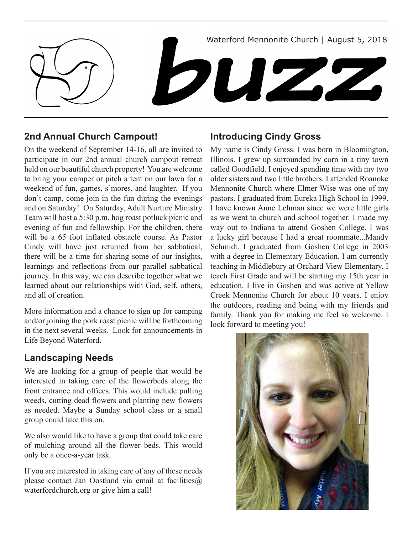

# **2nd Annual Church Campout!**

On the weekend of September 14-16, all are invited to participate in our 2nd annual church campout retreat held on our beautiful church property! You are welcome to bring your camper or pitch a tent on our lawn for a weekend of fun, games, s'mores, and laughter. If you don't camp, come join in the fun during the evenings and on Saturday! On Saturday, Adult Nurture Ministry Team will host a 5:30 p.m. hog roast potluck picnic and evening of fun and fellowship. For the children, there will be a 65 foot inflated obstacle course. As Pastor Cindy will have just returned from her sabbatical, there will be a time for sharing some of our insights, learnings and reflections from our parallel sabbatical journey. In this way, we can describe together what we learned about our relationships with God, self, others, and all of creation.

More information and a chance to sign up for camping and/or joining the pork roast picnic will be forthcoming in the next several weeks. Look for announcements in Life Beyond Waterford.

### **Landscaping Needs**

We are looking for a group of people that would be interested in taking care of the flowerbeds along the front entrance and offices. This would include pulling weeds, cutting dead flowers and planting new flowers as needed. Maybe a Sunday school class or a small group could take this on.

We also would like to have a group that could take care of mulching around all the flower beds. This would only be a once-a-year task.

If you are interested in taking care of any of these needs please contact Jan Oostland via email at facilities $\omega$ waterfordchurch.org or give him a call!

# **Introducing Cindy Gross**

My name is Cindy Gross. I was born in Bloomington, Illinois. I grew up surrounded by corn in a tiny town called Goodfield. I enjoyed spending time with my two older sisters and two little brothers. I attended Roanoke Mennonite Church where Elmer Wise was one of my pastors. I graduated from Eureka High School in 1999. I have known Anne Lehman since we were little girls as we went to church and school together. I made my way out to Indiana to attend Goshen College. I was a lucky girl because I had a great roommate...Mandy Schmidt. I graduated from Goshen College in 2003 with a degree in Elementary Education. I am currently teaching in Middlebury at Orchard View Elementary. I teach First Grade and will be starting my 15th year in education. I live in Goshen and was active at Yellow Creek Mennonite Church for about 10 years. I enjoy the outdoors, reading and being with my friends and family. Thank you for making me feel so welcome. I look forward to meeting you!